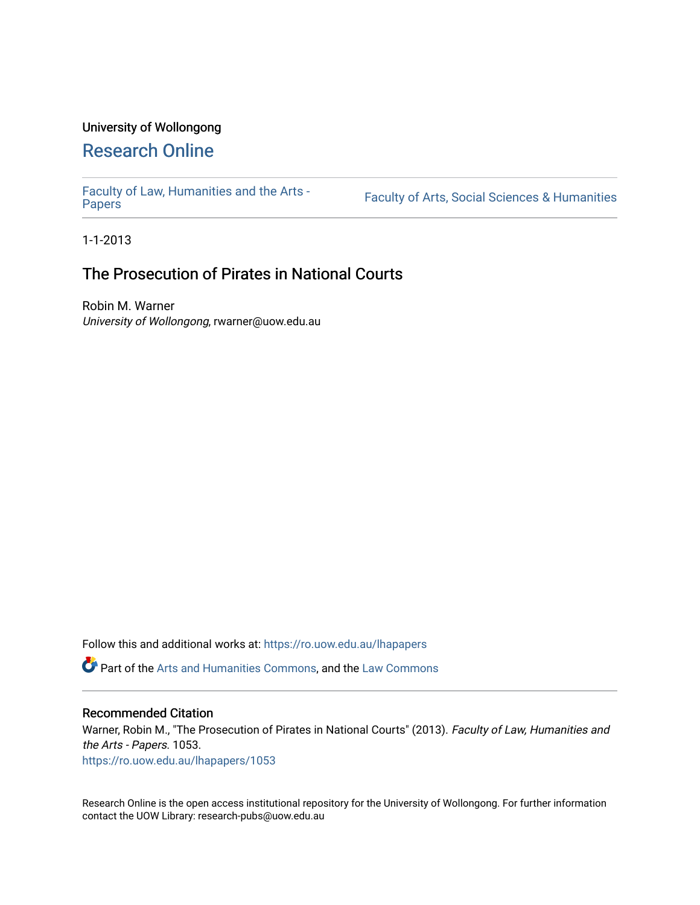## University of Wollongong

# [Research Online](https://ro.uow.edu.au/)

[Faculty of Law, Humanities and the Arts -](https://ro.uow.edu.au/lhapapers)

Faculty of Arts, Social Sciences & Humanities

1-1-2013

# The Prosecution of Pirates in National Courts

Robin M. Warner University of Wollongong, rwarner@uow.edu.au

Follow this and additional works at: [https://ro.uow.edu.au/lhapapers](https://ro.uow.edu.au/lhapapers?utm_source=ro.uow.edu.au%2Flhapapers%2F1053&utm_medium=PDF&utm_campaign=PDFCoverPages) 

Part of the [Arts and Humanities Commons,](http://network.bepress.com/hgg/discipline/438?utm_source=ro.uow.edu.au%2Flhapapers%2F1053&utm_medium=PDF&utm_campaign=PDFCoverPages) and the [Law Commons](http://network.bepress.com/hgg/discipline/578?utm_source=ro.uow.edu.au%2Flhapapers%2F1053&utm_medium=PDF&utm_campaign=PDFCoverPages) 

#### Recommended Citation

Warner, Robin M., "The Prosecution of Pirates in National Courts" (2013). Faculty of Law, Humanities and the Arts - Papers. 1053.

[https://ro.uow.edu.au/lhapapers/1053](https://ro.uow.edu.au/lhapapers/1053?utm_source=ro.uow.edu.au%2Flhapapers%2F1053&utm_medium=PDF&utm_campaign=PDFCoverPages)

Research Online is the open access institutional repository for the University of Wollongong. For further information contact the UOW Library: research-pubs@uow.edu.au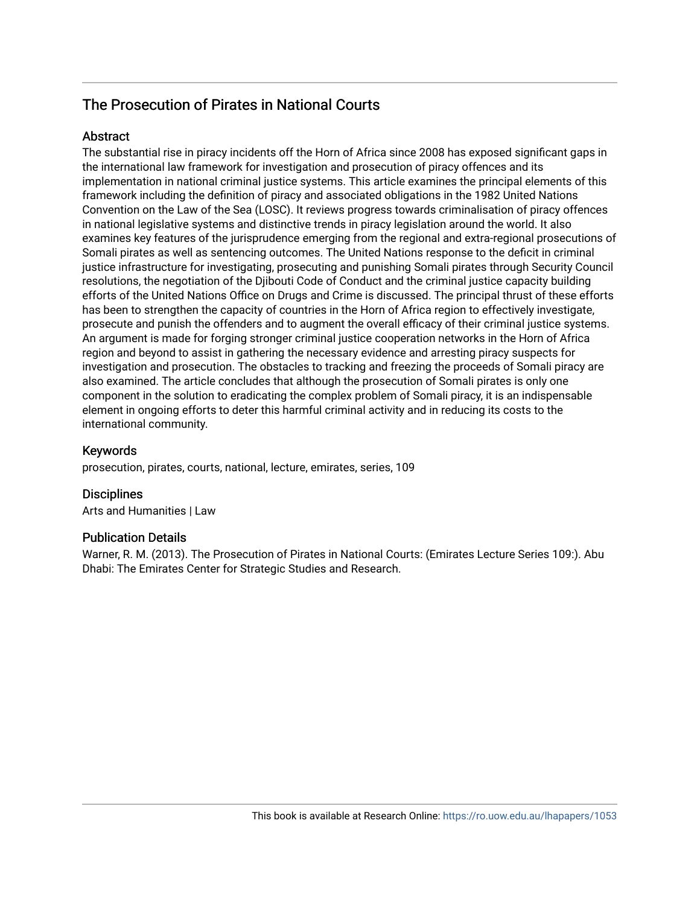## The Prosecution of Pirates in National Courts

### **Abstract**

The substantial rise in piracy incidents off the Horn of Africa since 2008 has exposed significant gaps in the international law framework for investigation and prosecution of piracy offences and its implementation in national criminal justice systems. This article examines the principal elements of this framework including the definition of piracy and associated obligations in the 1982 United Nations Convention on the Law of the Sea (LOSC). It reviews progress towards criminalisation of piracy offences in national legislative systems and distinctive trends in piracy legislation around the world. It also examines key features of the jurisprudence emerging from the regional and extra-regional prosecutions of Somali pirates as well as sentencing outcomes. The United Nations response to the deficit in criminal justice infrastructure for investigating, prosecuting and punishing Somali pirates through Security Council resolutions, the negotiation of the Djibouti Code of Conduct and the criminal justice capacity building efforts of the United Nations Office on Drugs and Crime is discussed. The principal thrust of these efforts has been to strengthen the capacity of countries in the Horn of Africa region to effectively investigate, prosecute and punish the offenders and to augment the overall efficacy of their criminal justice systems. An argument is made for forging stronger criminal justice cooperation networks in the Horn of Africa region and beyond to assist in gathering the necessary evidence and arresting piracy suspects for investigation and prosecution. The obstacles to tracking and freezing the proceeds of Somali piracy are also examined. The article concludes that although the prosecution of Somali pirates is only one component in the solution to eradicating the complex problem of Somali piracy, it is an indispensable element in ongoing efforts to deter this harmful criminal activity and in reducing its costs to the international community.

### Keywords

prosecution, pirates, courts, national, lecture, emirates, series, 109

### **Disciplines**

Arts and Humanities | Law

### Publication Details

Warner, R. M. (2013). The Prosecution of Pirates in National Courts: (Emirates Lecture Series 109:). Abu Dhabi: The Emirates Center for Strategic Studies and Research.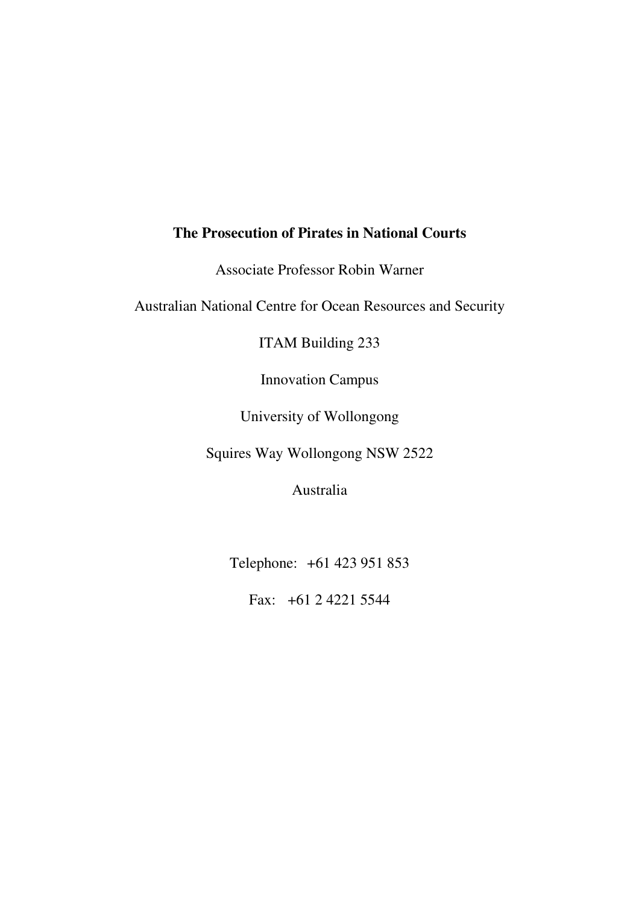# **The Prosecution of Pirates in National Courts**

Associate Professor Robin Warner

Australian National Centre for Ocean Resources and Security

ITAM Building 233

Innovation Campus

University of Wollongong

Squires Way Wollongong NSW 2522

Australia

Telephone: +61 423 951 853

Fax: +61 2 4221 5544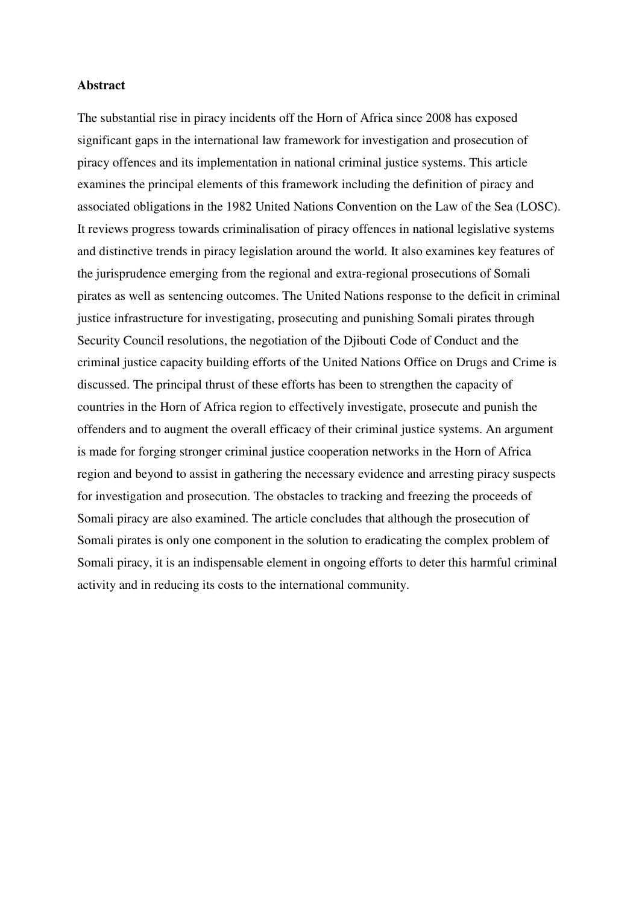#### **Abstract**

The substantial rise in piracy incidents off the Horn of Africa since 2008 has exposed significant gaps in the international law framework for investigation and prosecution of piracy offences and its implementation in national criminal justice systems. This article examines the principal elements of this framework including the definition of piracy and associated obligations in the 1982 United Nations Convention on the Law of the Sea (LOSC). It reviews progress towards criminalisation of piracy offences in national legislative systems and distinctive trends in piracy legislation around the world. It also examines key features of the jurisprudence emerging from the regional and extra-regional prosecutions of Somali pirates as well as sentencing outcomes. The United Nations response to the deficit in criminal justice infrastructure for investigating, prosecuting and punishing Somali pirates through Security Council resolutions, the negotiation of the Djibouti Code of Conduct and the criminal justice capacity building efforts of the United Nations Office on Drugs and Crime is discussed. The principal thrust of these efforts has been to strengthen the capacity of countries in the Horn of Africa region to effectively investigate, prosecute and punish the offenders and to augment the overall efficacy of their criminal justice systems. An argument is made for forging stronger criminal justice cooperation networks in the Horn of Africa region and beyond to assist in gathering the necessary evidence and arresting piracy suspects for investigation and prosecution. The obstacles to tracking and freezing the proceeds of Somali piracy are also examined. The article concludes that although the prosecution of Somali pirates is only one component in the solution to eradicating the complex problem of Somali piracy, it is an indispensable element in ongoing efforts to deter this harmful criminal activity and in reducing its costs to the international community.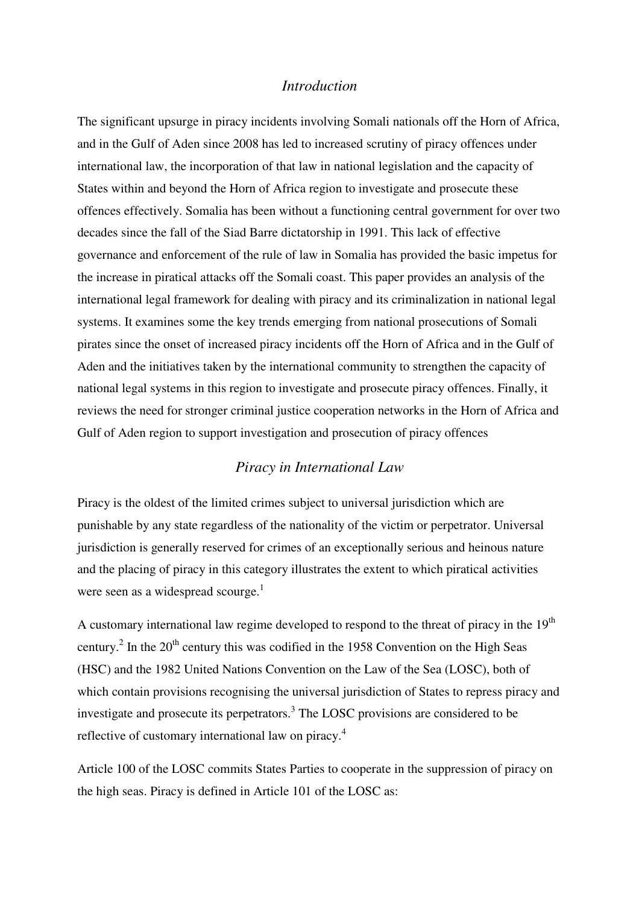## *Introduction*

The significant upsurge in piracy incidents involving Somali nationals off the Horn of Africa, and in the Gulf of Aden since 2008 has led to increased scrutiny of piracy offences under international law, the incorporation of that law in national legislation and the capacity of States within and beyond the Horn of Africa region to investigate and prosecute these offences effectively. Somalia has been without a functioning central government for over two decades since the fall of the Siad Barre dictatorship in 1991. This lack of effective governance and enforcement of the rule of law in Somalia has provided the basic impetus for the increase in piratical attacks off the Somali coast. This paper provides an analysis of the international legal framework for dealing with piracy and its criminalization in national legal systems. It examines some the key trends emerging from national prosecutions of Somali pirates since the onset of increased piracy incidents off the Horn of Africa and in the Gulf of Aden and the initiatives taken by the international community to strengthen the capacity of national legal systems in this region to investigate and prosecute piracy offences. Finally, it reviews the need for stronger criminal justice cooperation networks in the Horn of Africa and Gulf of Aden region to support investigation and prosecution of piracy offences

## *Piracy in International Law*

Piracy is the oldest of the limited crimes subject to universal jurisdiction which are punishable by any state regardless of the nationality of the victim or perpetrator. Universal jurisdiction is generally reserved for crimes of an exceptionally serious and heinous nature and the placing of piracy in this category illustrates the extent to which piratical activities were seen as a widespread scourge. $<sup>1</sup>$ </sup>

A customary international law regime developed to respond to the threat of piracy in the  $19<sup>th</sup>$ century.<sup>2</sup> In the 20<sup>th</sup> century this was codified in the 1958 Convention on the High Seas (HSC) and the 1982 United Nations Convention on the Law of the Sea (LOSC), both of which contain provisions recognising the universal jurisdiction of States to repress piracy and investigate and prosecute its perpetrators.<sup>3</sup> The LOSC provisions are considered to be reflective of customary international law on piracy.<sup>4</sup>

Article 100 of the LOSC commits States Parties to cooperate in the suppression of piracy on the high seas. Piracy is defined in Article 101 of the LOSC as: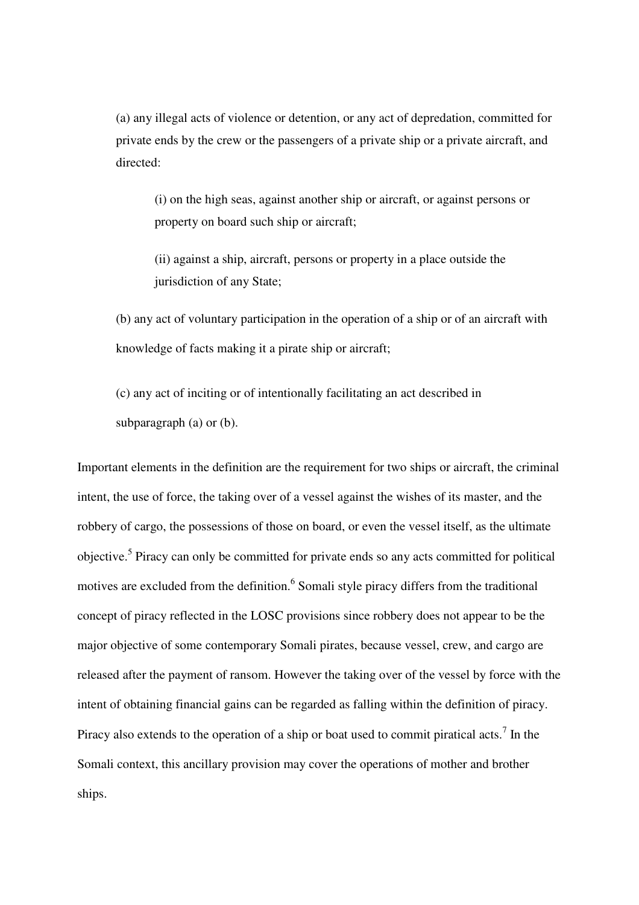(a) any illegal acts of violence or detention, or any act of depredation, committed for private ends by the crew or the passengers of a private ship or a private aircraft, and directed:

(i) on the high seas, against another ship or aircraft, or against persons or property on board such ship or aircraft;

(ii) against a ship, aircraft, persons or property in a place outside the jurisdiction of any State;

(b) any act of voluntary participation in the operation of a ship or of an aircraft with knowledge of facts making it a pirate ship or aircraft;

(c) any act of inciting or of intentionally facilitating an act described in subparagraph (a) or (b).

Important elements in the definition are the requirement for two ships or aircraft, the criminal intent, the use of force, the taking over of a vessel against the wishes of its master, and the robbery of cargo, the possessions of those on board, or even the vessel itself, as the ultimate objective.<sup>5</sup> Piracy can only be committed for private ends so any acts committed for political motives are excluded from the definition.<sup>6</sup> Somali style piracy differs from the traditional concept of piracy reflected in the LOSC provisions since robbery does not appear to be the major objective of some contemporary Somali pirates, because vessel, crew, and cargo are released after the payment of ransom. However the taking over of the vessel by force with the intent of obtaining financial gains can be regarded as falling within the definition of piracy. Piracy also extends to the operation of a ship or boat used to commit piratical acts.<sup>7</sup> In the Somali context, this ancillary provision may cover the operations of mother and brother ships.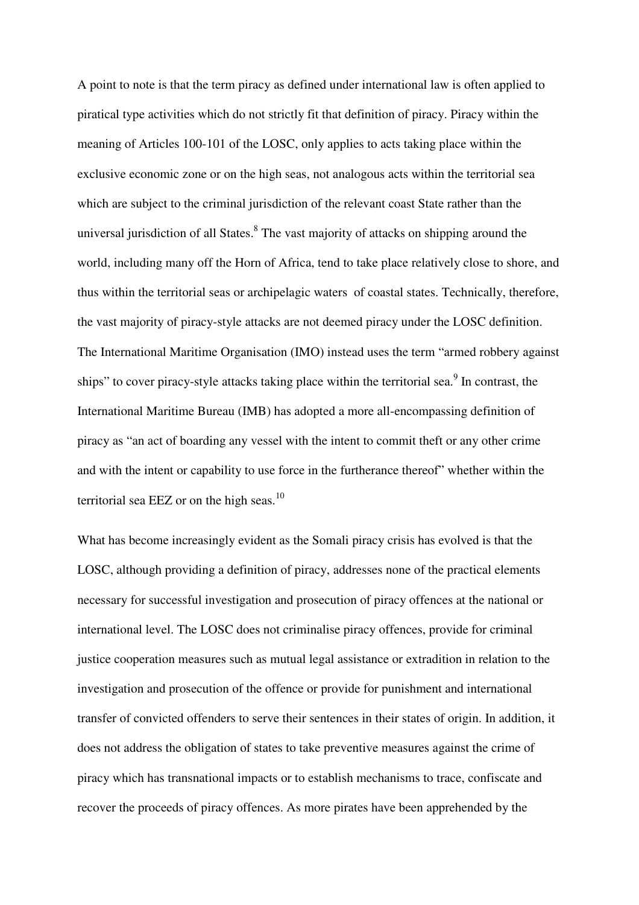A point to note is that the term piracy as defined under international law is often applied to piratical type activities which do not strictly fit that definition of piracy. Piracy within the meaning of Articles 100-101 of the LOSC, only applies to acts taking place within the exclusive economic zone or on the high seas, not analogous acts within the territorial sea which are subject to the criminal jurisdiction of the relevant coast State rather than the universal jurisdiction of all States.<sup>8</sup> The vast majority of attacks on shipping around the world, including many off the Horn of Africa, tend to take place relatively close to shore, and thus within the territorial seas or archipelagic waters of coastal states. Technically, therefore, the vast majority of piracy-style attacks are not deemed piracy under the LOSC definition. The International Maritime Organisation (IMO) instead uses the term "armed robbery against ships" to cover piracy-style attacks taking place within the territorial sea.<sup>9</sup> In contrast, the International Maritime Bureau (IMB) has adopted a more all-encompassing definition of piracy as "an act of boarding any vessel with the intent to commit theft or any other crime and with the intent or capability to use force in the furtherance thereof" whether within the territorial sea EEZ or on the high seas. $^{10}$ 

What has become increasingly evident as the Somali piracy crisis has evolved is that the LOSC, although providing a definition of piracy, addresses none of the practical elements necessary for successful investigation and prosecution of piracy offences at the national or international level. The LOSC does not criminalise piracy offences, provide for criminal justice cooperation measures such as mutual legal assistance or extradition in relation to the investigation and prosecution of the offence or provide for punishment and international transfer of convicted offenders to serve their sentences in their states of origin. In addition, it does not address the obligation of states to take preventive measures against the crime of piracy which has transnational impacts or to establish mechanisms to trace, confiscate and recover the proceeds of piracy offences. As more pirates have been apprehended by the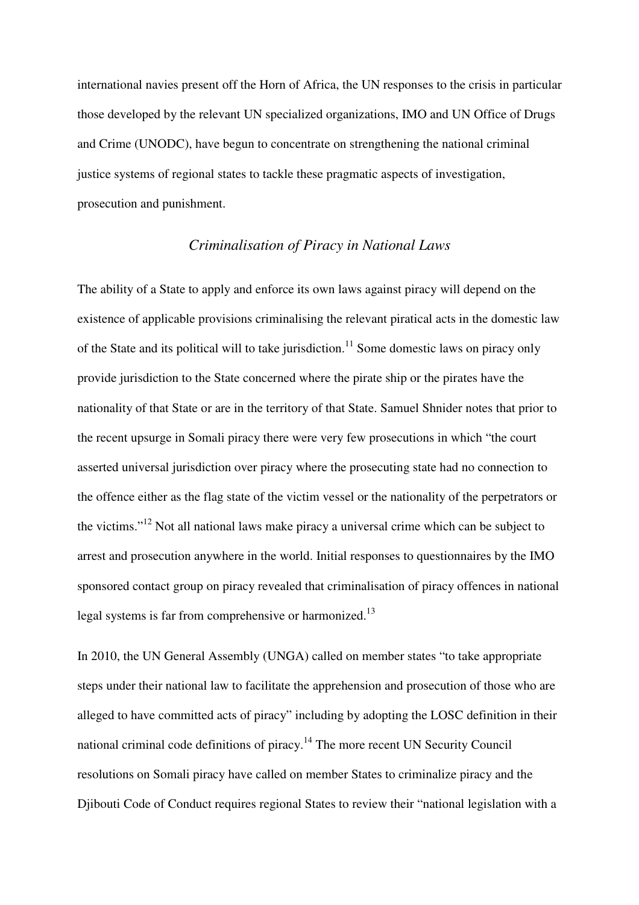international navies present off the Horn of Africa, the UN responses to the crisis in particular those developed by the relevant UN specialized organizations, IMO and UN Office of Drugs and Crime (UNODC), have begun to concentrate on strengthening the national criminal justice systems of regional states to tackle these pragmatic aspects of investigation, prosecution and punishment.

## *Criminalisation of Piracy in National Laws*

The ability of a State to apply and enforce its own laws against piracy will depend on the existence of applicable provisions criminalising the relevant piratical acts in the domestic law of the State and its political will to take jurisdiction.<sup>11</sup> Some domestic laws on piracy only provide jurisdiction to the State concerned where the pirate ship or the pirates have the nationality of that State or are in the territory of that State. Samuel Shnider notes that prior to the recent upsurge in Somali piracy there were very few prosecutions in which "the court asserted universal jurisdiction over piracy where the prosecuting state had no connection to the offence either as the flag state of the victim vessel or the nationality of the perpetrators or the victims."<sup>12</sup> Not all national laws make piracy a universal crime which can be subject to arrest and prosecution anywhere in the world. Initial responses to questionnaires by the IMO sponsored contact group on piracy revealed that criminalisation of piracy offences in national legal systems is far from comprehensive or harmonized.<sup>13</sup>

In 2010, the UN General Assembly (UNGA) called on member states "to take appropriate steps under their national law to facilitate the apprehension and prosecution of those who are alleged to have committed acts of piracy" including by adopting the LOSC definition in their national criminal code definitions of piracy.<sup>14</sup> The more recent UN Security Council resolutions on Somali piracy have called on member States to criminalize piracy and the Djibouti Code of Conduct requires regional States to review their "national legislation with a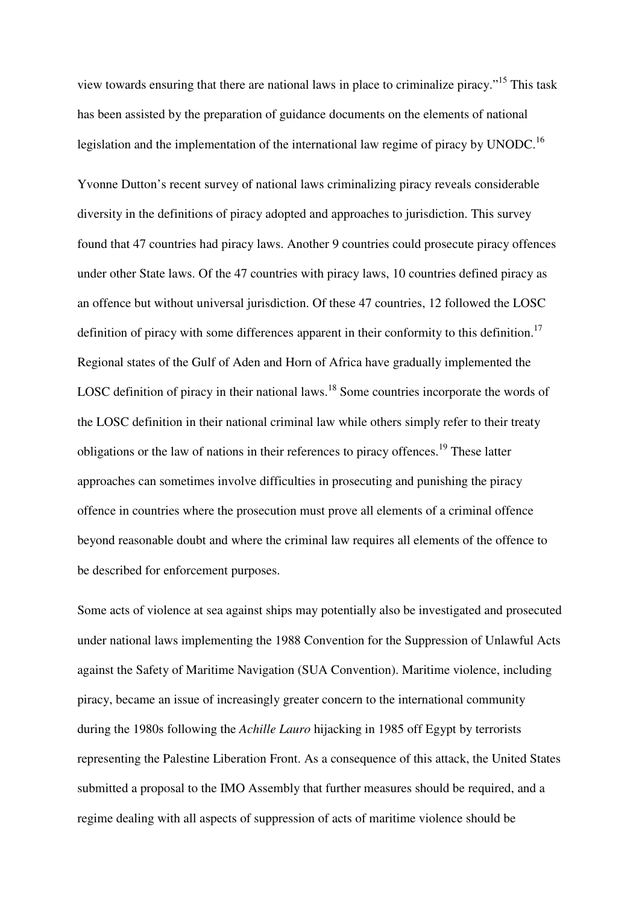view towards ensuring that there are national laws in place to criminalize piracy."<sup>15</sup> This task has been assisted by the preparation of guidance documents on the elements of national legislation and the implementation of the international law regime of piracy by UNODC.<sup>16</sup>

Yvonne Dutton's recent survey of national laws criminalizing piracy reveals considerable diversity in the definitions of piracy adopted and approaches to jurisdiction. This survey found that 47 countries had piracy laws. Another 9 countries could prosecute piracy offences under other State laws. Of the 47 countries with piracy laws, 10 countries defined piracy as an offence but without universal jurisdiction. Of these 47 countries, 12 followed the LOSC definition of piracy with some differences apparent in their conformity to this definition.<sup>17</sup> Regional states of the Gulf of Aden and Horn of Africa have gradually implemented the LOSC definition of piracy in their national laws.<sup>18</sup> Some countries incorporate the words of the LOSC definition in their national criminal law while others simply refer to their treaty obligations or the law of nations in their references to piracy offences.<sup>19</sup> These latter approaches can sometimes involve difficulties in prosecuting and punishing the piracy offence in countries where the prosecution must prove all elements of a criminal offence beyond reasonable doubt and where the criminal law requires all elements of the offence to be described for enforcement purposes.

Some acts of violence at sea against ships may potentially also be investigated and prosecuted under national laws implementing the 1988 Convention for the Suppression of Unlawful Acts against the Safety of Maritime Navigation (SUA Convention). Maritime violence, including piracy, became an issue of increasingly greater concern to the international community during the 1980s following the *Achille Lauro* hijacking in 1985 off Egypt by terrorists representing the Palestine Liberation Front. As a consequence of this attack, the United States submitted a proposal to the IMO Assembly that further measures should be required, and a regime dealing with all aspects of suppression of acts of maritime violence should be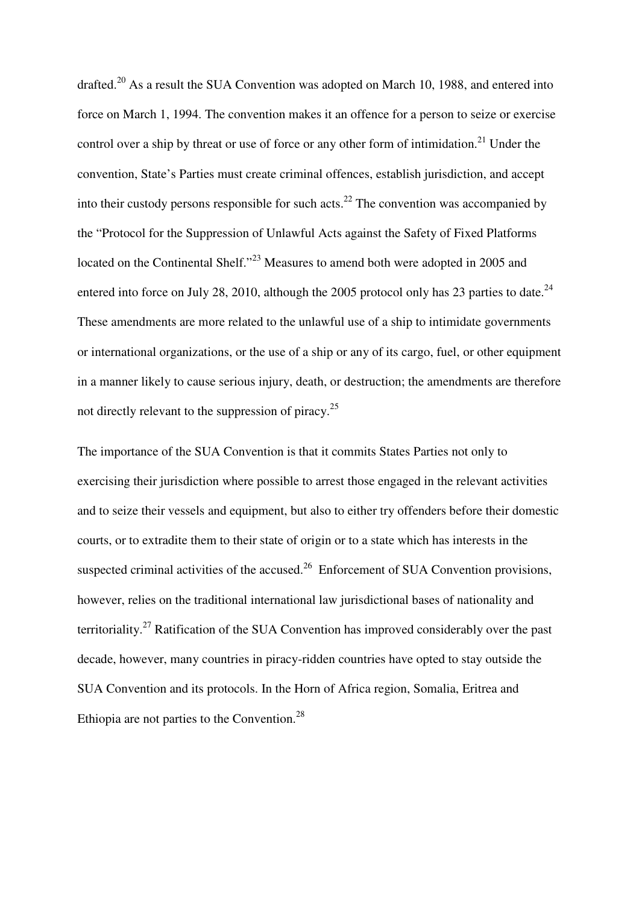drafted.<sup>20</sup> As a result the SUA Convention was adopted on March 10, 1988, and entered into force on March 1, 1994. The convention makes it an offence for a person to seize or exercise control over a ship by threat or use of force or any other form of intimidation.<sup>21</sup> Under the convention, State's Parties must create criminal offences, establish jurisdiction, and accept into their custody persons responsible for such acts.<sup>22</sup> The convention was accompanied by the "Protocol for the Suppression of Unlawful Acts against the Safety of Fixed Platforms located on the Continental Shelf."<sup>23</sup> Measures to amend both were adopted in 2005 and entered into force on July 28, 2010, although the 2005 protocol only has 23 parties to date.<sup>24</sup> These amendments are more related to the unlawful use of a ship to intimidate governments or international organizations, or the use of a ship or any of its cargo, fuel, or other equipment in a manner likely to cause serious injury, death, or destruction; the amendments are therefore not directly relevant to the suppression of piracy.<sup>25</sup>

The importance of the SUA Convention is that it commits States Parties not only to exercising their jurisdiction where possible to arrest those engaged in the relevant activities and to seize their vessels and equipment, but also to either try offenders before their domestic courts, or to extradite them to their state of origin or to a state which has interests in the suspected criminal activities of the accused.<sup>26</sup> Enforcement of SUA Convention provisions, however, relies on the traditional international law jurisdictional bases of nationality and territoriality.<sup>27</sup> Ratification of the SUA Convention has improved considerably over the past decade, however, many countries in piracy-ridden countries have opted to stay outside the SUA Convention and its protocols. In the Horn of Africa region, Somalia, Eritrea and Ethiopia are not parties to the Convention.<sup>28</sup>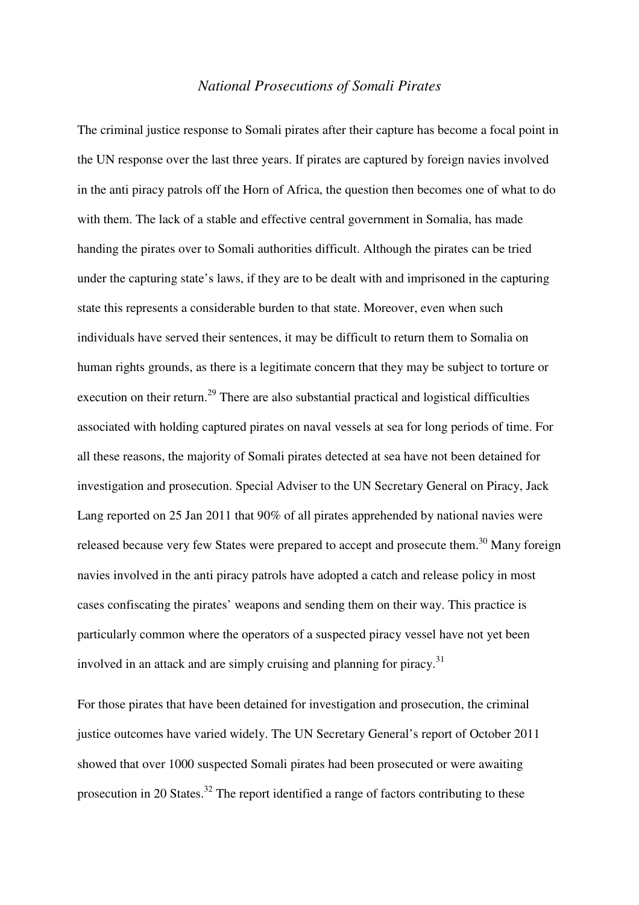#### *National Prosecutions of Somali Pirates*

The criminal justice response to Somali pirates after their capture has become a focal point in the UN response over the last three years. If pirates are captured by foreign navies involved in the anti piracy patrols off the Horn of Africa, the question then becomes one of what to do with them. The lack of a stable and effective central government in Somalia, has made handing the pirates over to Somali authorities difficult. Although the pirates can be tried under the capturing state's laws, if they are to be dealt with and imprisoned in the capturing state this represents a considerable burden to that state. Moreover, even when such individuals have served their sentences, it may be difficult to return them to Somalia on human rights grounds, as there is a legitimate concern that they may be subject to torture or execution on their return.<sup>29</sup> There are also substantial practical and logistical difficulties associated with holding captured pirates on naval vessels at sea for long periods of time. For all these reasons, the majority of Somali pirates detected at sea have not been detained for investigation and prosecution. Special Adviser to the UN Secretary General on Piracy, Jack Lang reported on 25 Jan 2011 that 90% of all pirates apprehended by national navies were released because very few States were prepared to accept and prosecute them.<sup>30</sup> Many foreign navies involved in the anti piracy patrols have adopted a catch and release policy in most cases confiscating the pirates' weapons and sending them on their way. This practice is particularly common where the operators of a suspected piracy vessel have not yet been involved in an attack and are simply cruising and planning for piracy.<sup>31</sup>

For those pirates that have been detained for investigation and prosecution, the criminal justice outcomes have varied widely. The UN Secretary General's report of October 2011 showed that over 1000 suspected Somali pirates had been prosecuted or were awaiting prosecution in 20 States.<sup>32</sup> The report identified a range of factors contributing to these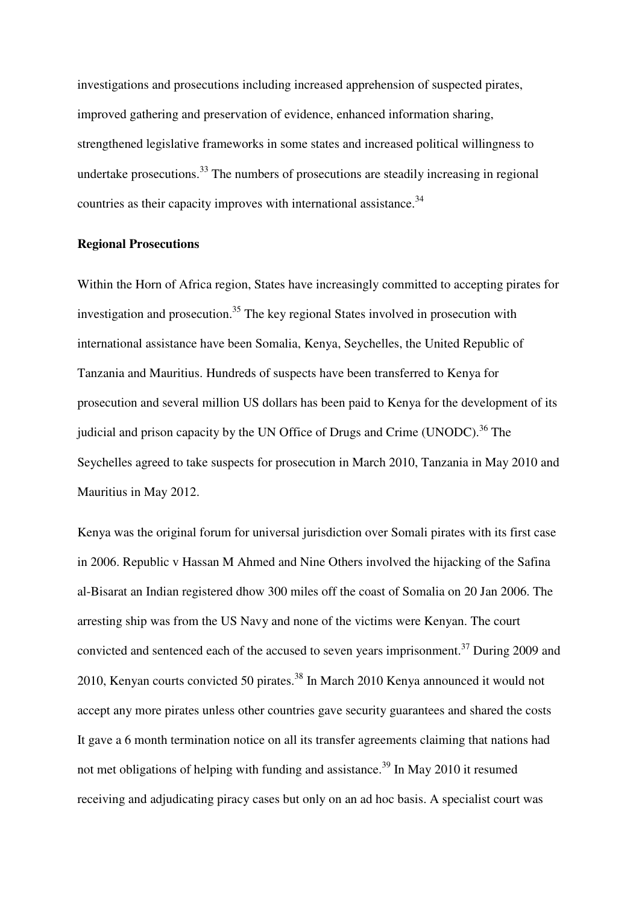investigations and prosecutions including increased apprehension of suspected pirates, improved gathering and preservation of evidence, enhanced information sharing, strengthened legislative frameworks in some states and increased political willingness to undertake prosecutions.<sup>33</sup> The numbers of prosecutions are steadily increasing in regional countries as their capacity improves with international assistance.<sup>34</sup>

### **Regional Prosecutions**

Within the Horn of Africa region, States have increasingly committed to accepting pirates for investigation and prosecution.<sup>35</sup> The key regional States involved in prosecution with international assistance have been Somalia, Kenya, Seychelles, the United Republic of Tanzania and Mauritius. Hundreds of suspects have been transferred to Kenya for prosecution and several million US dollars has been paid to Kenya for the development of its judicial and prison capacity by the UN Office of Drugs and Crime (UNODC).<sup>36</sup> The Seychelles agreed to take suspects for prosecution in March 2010, Tanzania in May 2010 and Mauritius in May 2012.

Kenya was the original forum for universal jurisdiction over Somali pirates with its first case in 2006. Republic v Hassan M Ahmed and Nine Others involved the hijacking of the Safina al-Bisarat an Indian registered dhow 300 miles off the coast of Somalia on 20 Jan 2006. The arresting ship was from the US Navy and none of the victims were Kenyan. The court convicted and sentenced each of the accused to seven years imprisonment.<sup>37</sup> During 2009 and 2010, Kenyan courts convicted 50 pirates.<sup>38</sup> In March 2010 Kenya announced it would not accept any more pirates unless other countries gave security guarantees and shared the costs It gave a 6 month termination notice on all its transfer agreements claiming that nations had not met obligations of helping with funding and assistance.<sup>39</sup> In May 2010 it resumed receiving and adjudicating piracy cases but only on an ad hoc basis. A specialist court was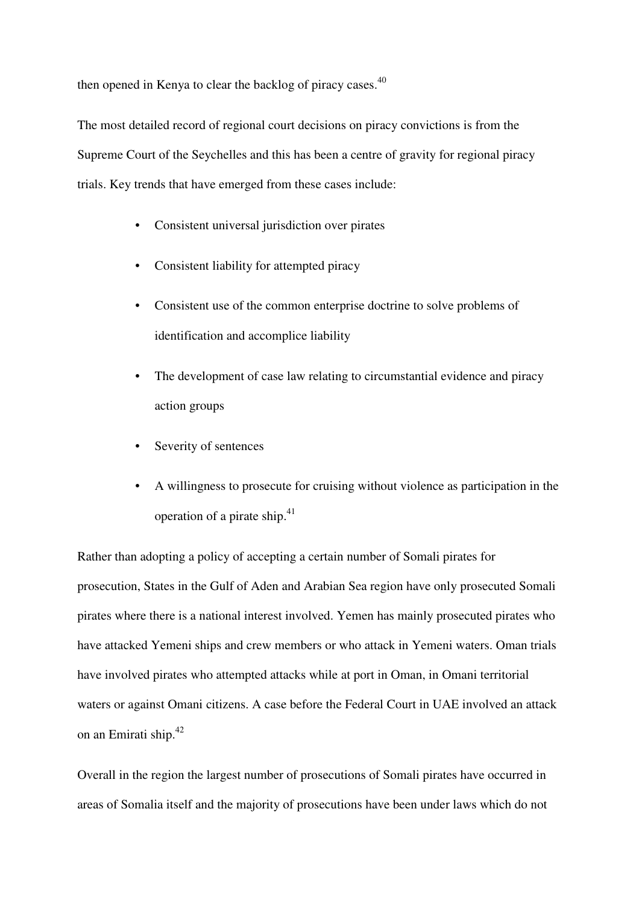then opened in Kenya to clear the backlog of piracy cases. $40$ 

The most detailed record of regional court decisions on piracy convictions is from the Supreme Court of the Seychelles and this has been a centre of gravity for regional piracy trials. Key trends that have emerged from these cases include:

- Consistent universal jurisdiction over pirates
- Consistent liability for attempted piracy
- Consistent use of the common enterprise doctrine to solve problems of identification and accomplice liability
- The development of case law relating to circumstantial evidence and piracy action groups
- Severity of sentences
- A willingness to prosecute for cruising without violence as participation in the operation of a pirate ship.<sup>41</sup>

Rather than adopting a policy of accepting a certain number of Somali pirates for prosecution, States in the Gulf of Aden and Arabian Sea region have only prosecuted Somali pirates where there is a national interest involved. Yemen has mainly prosecuted pirates who have attacked Yemeni ships and crew members or who attack in Yemeni waters. Oman trials have involved pirates who attempted attacks while at port in Oman, in Omani territorial waters or against Omani citizens. A case before the Federal Court in UAE involved an attack on an Emirati ship.<sup>42</sup>

Overall in the region the largest number of prosecutions of Somali pirates have occurred in areas of Somalia itself and the majority of prosecutions have been under laws which do not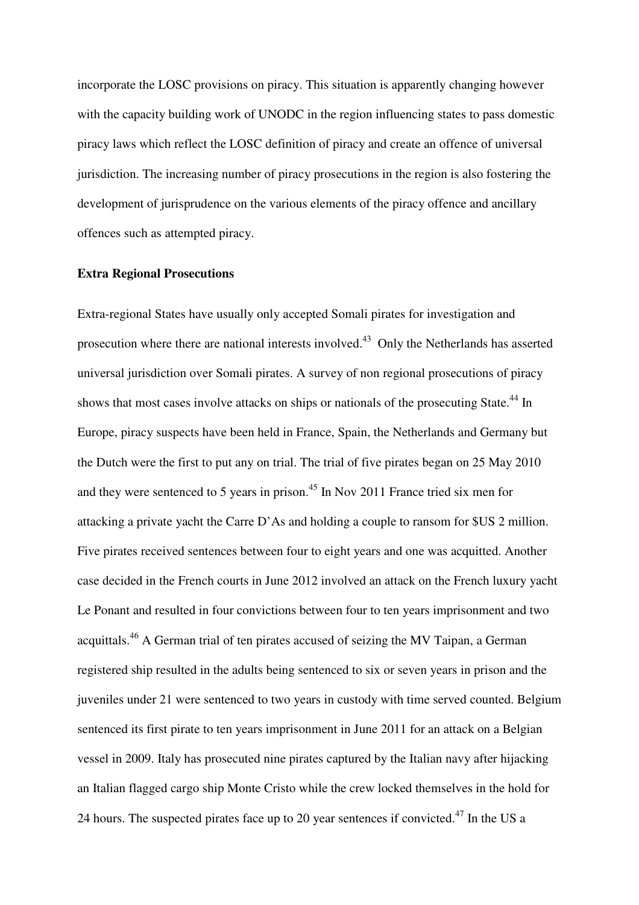incorporate the LOSC provisions on piracy. This situation is apparently changing however with the capacity building work of UNODC in the region influencing states to pass domestic piracy laws which reflect the LOSC definition of piracy and create an offence of universal jurisdiction. The increasing number of piracy prosecutions in the region is also fostering the development of jurisprudence on the various elements of the piracy offence and ancillary offences such as attempted piracy.

#### **Extra Regional Prosecutions**

Extra-regional States have usually only accepted Somali pirates for investigation and prosecution where there are national interests involved.<sup>43</sup> Only the Netherlands has asserted universal jurisdiction over Somali pirates. A survey of non regional prosecutions of piracy shows that most cases involve attacks on ships or nationals of the prosecuting State.<sup>44</sup> In Europe, piracy suspects have been held in France, Spain, the Netherlands and Germany but the Dutch were the first to put any on trial. The trial of five pirates began on 25 May 2010 and they were sentenced to 5 years in prison.<sup>45</sup> In Nov 2011 France tried six men for attacking a private yacht the Carre D'As and holding a couple to ransom for \$US 2 million. Five pirates received sentences between four to eight years and one was acquitted. Another case decided in the French courts in June 2012 involved an attack on the French luxury yacht Le Ponant and resulted in four convictions between four to ten years imprisonment and two acquittals.<sup>46</sup> A German trial of ten pirates accused of seizing the MV Taipan, a German registered ship resulted in the adults being sentenced to six or seven years in prison and the juveniles under 21 were sentenced to two years in custody with time served counted. Belgium sentenced its first pirate to ten years imprisonment in June 2011 for an attack on a Belgian vessel in 2009. Italy has prosecuted nine pirates captured by the Italian navy after hijacking an Italian flagged cargo ship Monte Cristo while the crew locked themselves in the hold for 24 hours. The suspected pirates face up to 20 year sentences if convicted.<sup>47</sup> In the US a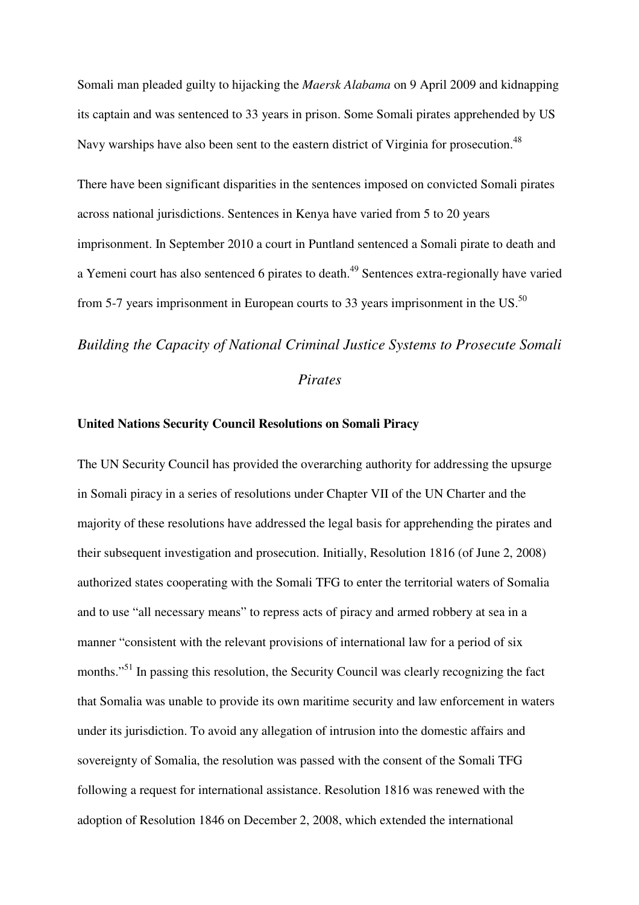Somali man pleaded guilty to hijacking the *Maersk Alabama* on 9 April 2009 and kidnapping its captain and was sentenced to 33 years in prison. Some Somali pirates apprehended by US Navy warships have also been sent to the eastern district of Virginia for prosecution.<sup>48</sup>

There have been significant disparities in the sentences imposed on convicted Somali pirates across national jurisdictions. Sentences in Kenya have varied from 5 to 20 years imprisonment. In September 2010 a court in Puntland sentenced a Somali pirate to death and a Yemeni court has also sentenced 6 pirates to death.<sup>49</sup> Sentences extra-regionally have varied from 5-7 years imprisonment in European courts to 33 years imprisonment in the  $US<sup>50</sup>$ 

#### *Building the Capacity of National Criminal Justice Systems to Prosecute Somali*

## *Pirates*

#### **United Nations Security Council Resolutions on Somali Piracy**

The UN Security Council has provided the overarching authority for addressing the upsurge in Somali piracy in a series of resolutions under Chapter VII of the UN Charter and the majority of these resolutions have addressed the legal basis for apprehending the pirates and their subsequent investigation and prosecution. Initially, Resolution 1816 (of June 2, 2008) authorized states cooperating with the Somali TFG to enter the territorial waters of Somalia and to use "all necessary means" to repress acts of piracy and armed robbery at sea in a manner "consistent with the relevant provisions of international law for a period of six months."<sup>51</sup> In passing this resolution, the Security Council was clearly recognizing the fact that Somalia was unable to provide its own maritime security and law enforcement in waters under its jurisdiction. To avoid any allegation of intrusion into the domestic affairs and sovereignty of Somalia, the resolution was passed with the consent of the Somali TFG following a request for international assistance. Resolution 1816 was renewed with the adoption of Resolution 1846 on December 2, 2008, which extended the international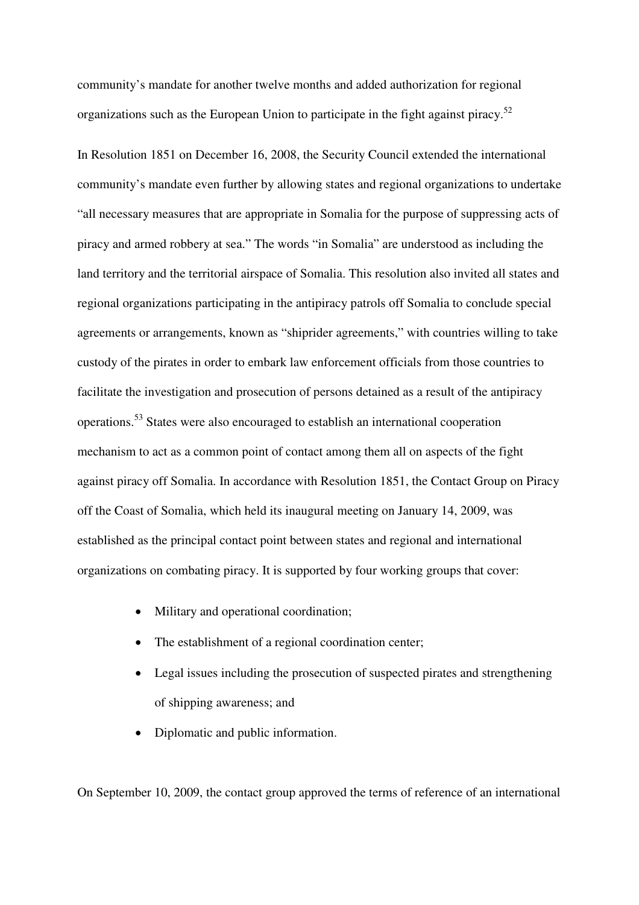community's mandate for another twelve months and added authorization for regional organizations such as the European Union to participate in the fight against piracy.<sup>52</sup>

In Resolution 1851 on December 16, 2008, the Security Council extended the international community's mandate even further by allowing states and regional organizations to undertake "all necessary measures that are appropriate in Somalia for the purpose of suppressing acts of piracy and armed robbery at sea." The words "in Somalia" are understood as including the land territory and the territorial airspace of Somalia. This resolution also invited all states and regional organizations participating in the antipiracy patrols off Somalia to conclude special agreements or arrangements, known as "shiprider agreements," with countries willing to take custody of the pirates in order to embark law enforcement officials from those countries to facilitate the investigation and prosecution of persons detained as a result of the antipiracy operations.<sup>53</sup> States were also encouraged to establish an international cooperation mechanism to act as a common point of contact among them all on aspects of the fight against piracy off Somalia. In accordance with Resolution 1851, the Contact Group on Piracy off the Coast of Somalia, which held its inaugural meeting on January 14, 2009, was established as the principal contact point between states and regional and international organizations on combating piracy. It is supported by four working groups that cover:

- Military and operational coordination;
- The establishment of a regional coordination center;
- Legal issues including the prosecution of suspected pirates and strengthening of shipping awareness; and
- Diplomatic and public information.

On September 10, 2009, the contact group approved the terms of reference of an international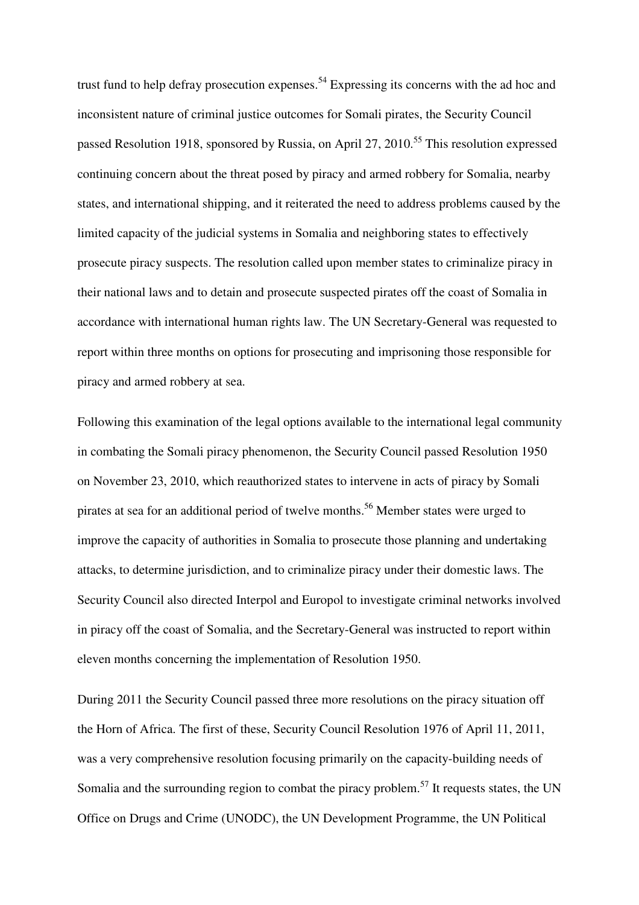trust fund to help defray prosecution expenses.<sup>54</sup> Expressing its concerns with the ad hoc and inconsistent nature of criminal justice outcomes for Somali pirates, the Security Council passed Resolution 1918, sponsored by Russia, on April 27, 2010.<sup>55</sup> This resolution expressed continuing concern about the threat posed by piracy and armed robbery for Somalia, nearby states, and international shipping, and it reiterated the need to address problems caused by the limited capacity of the judicial systems in Somalia and neighboring states to effectively prosecute piracy suspects. The resolution called upon member states to criminalize piracy in their national laws and to detain and prosecute suspected pirates off the coast of Somalia in accordance with international human rights law. The UN Secretary-General was requested to report within three months on options for prosecuting and imprisoning those responsible for piracy and armed robbery at sea.

Following this examination of the legal options available to the international legal community in combating the Somali piracy phenomenon, the Security Council passed Resolution 1950 on November 23, 2010, which reauthorized states to intervene in acts of piracy by Somali pirates at sea for an additional period of twelve months.<sup>56</sup> Member states were urged to improve the capacity of authorities in Somalia to prosecute those planning and undertaking attacks, to determine jurisdiction, and to criminalize piracy under their domestic laws. The Security Council also directed Interpol and Europol to investigate criminal networks involved in piracy off the coast of Somalia, and the Secretary-General was instructed to report within eleven months concerning the implementation of Resolution 1950.

During 2011 the Security Council passed three more resolutions on the piracy situation off the Horn of Africa. The first of these, Security Council Resolution 1976 of April 11, 2011, was a very comprehensive resolution focusing primarily on the capacity-building needs of Somalia and the surrounding region to combat the piracy problem.<sup>57</sup> It requests states, the UN Office on Drugs and Crime (UNODC), the UN Development Programme, the UN Political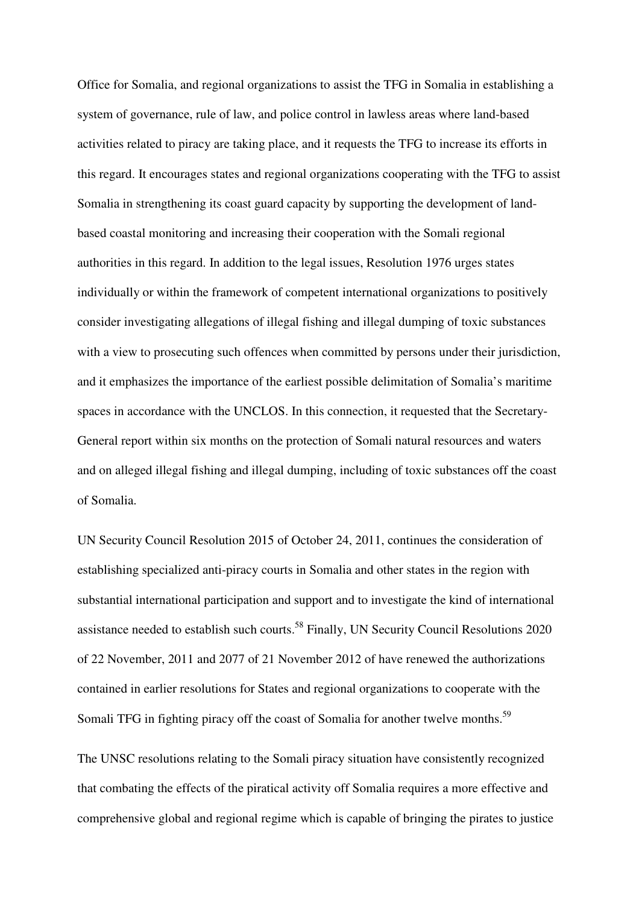Office for Somalia, and regional organizations to assist the TFG in Somalia in establishing a system of governance, rule of law, and police control in lawless areas where land-based activities related to piracy are taking place, and it requests the TFG to increase its efforts in this regard. It encourages states and regional organizations cooperating with the TFG to assist Somalia in strengthening its coast guard capacity by supporting the development of landbased coastal monitoring and increasing their cooperation with the Somali regional authorities in this regard. In addition to the legal issues, Resolution 1976 urges states individually or within the framework of competent international organizations to positively consider investigating allegations of illegal fishing and illegal dumping of toxic substances with a view to prosecuting such offences when committed by persons under their jurisdiction, and it emphasizes the importance of the earliest possible delimitation of Somalia's maritime spaces in accordance with the UNCLOS. In this connection, it requested that the Secretary-General report within six months on the protection of Somali natural resources and waters and on alleged illegal fishing and illegal dumping, including of toxic substances off the coast of Somalia.

UN Security Council Resolution 2015 of October 24, 2011, continues the consideration of establishing specialized anti-piracy courts in Somalia and other states in the region with substantial international participation and support and to investigate the kind of international assistance needed to establish such courts.<sup>58</sup> Finally, UN Security Council Resolutions 2020 of 22 November, 2011 and 2077 of 21 November 2012 of have renewed the authorizations contained in earlier resolutions for States and regional organizations to cooperate with the Somali TFG in fighting piracy off the coast of Somalia for another twelve months.<sup>59</sup>

The UNSC resolutions relating to the Somali piracy situation have consistently recognized that combating the effects of the piratical activity off Somalia requires a more effective and comprehensive global and regional regime which is capable of bringing the pirates to justice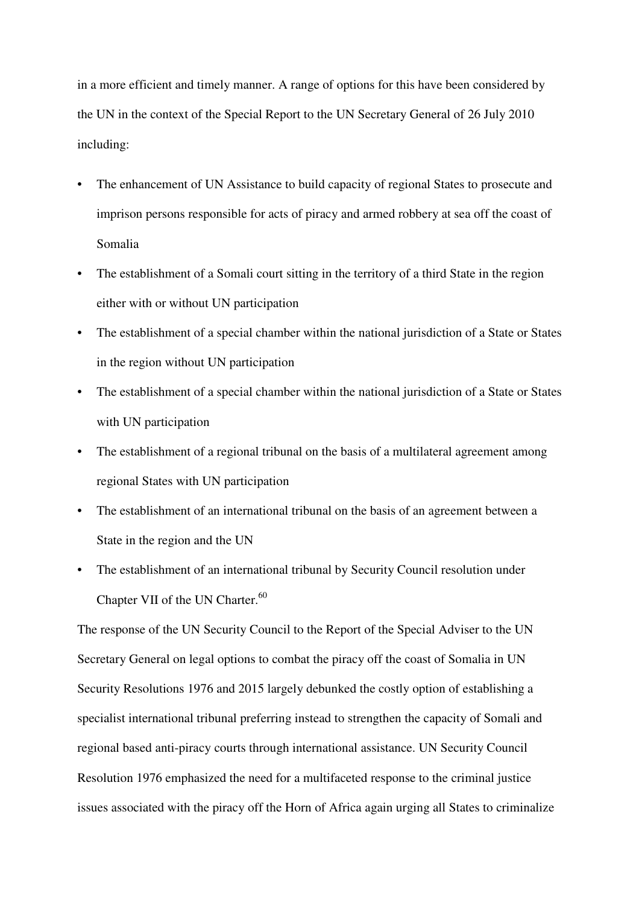in a more efficient and timely manner. A range of options for this have been considered by the UN in the context of the Special Report to the UN Secretary General of 26 July 2010 including:

- The enhancement of UN Assistance to build capacity of regional States to prosecute and imprison persons responsible for acts of piracy and armed robbery at sea off the coast of Somalia
- The establishment of a Somali court sitting in the territory of a third State in the region either with or without UN participation
- The establishment of a special chamber within the national jurisdiction of a State or States in the region without UN participation
- The establishment of a special chamber within the national jurisdiction of a State or States with UN participation
- The establishment of a regional tribunal on the basis of a multilateral agreement among regional States with UN participation
- The establishment of an international tribunal on the basis of an agreement between a State in the region and the UN
- The establishment of an international tribunal by Security Council resolution under Chapter VII of the UN Charter.<sup>60</sup>

The response of the UN Security Council to the Report of the Special Adviser to the UN Secretary General on legal options to combat the piracy off the coast of Somalia in UN Security Resolutions 1976 and 2015 largely debunked the costly option of establishing a specialist international tribunal preferring instead to strengthen the capacity of Somali and regional based anti-piracy courts through international assistance. UN Security Council Resolution 1976 emphasized the need for a multifaceted response to the criminal justice issues associated with the piracy off the Horn of Africa again urging all States to criminalize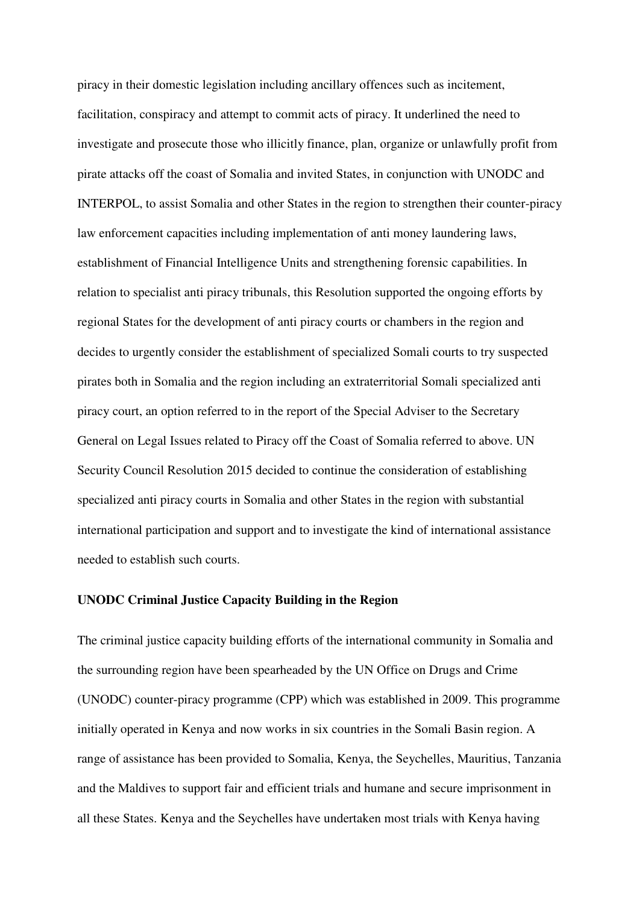piracy in their domestic legislation including ancillary offences such as incitement, facilitation, conspiracy and attempt to commit acts of piracy. It underlined the need to investigate and prosecute those who illicitly finance, plan, organize or unlawfully profit from pirate attacks off the coast of Somalia and invited States, in conjunction with UNODC and INTERPOL, to assist Somalia and other States in the region to strengthen their counter-piracy law enforcement capacities including implementation of anti money laundering laws, establishment of Financial Intelligence Units and strengthening forensic capabilities. In relation to specialist anti piracy tribunals, this Resolution supported the ongoing efforts by regional States for the development of anti piracy courts or chambers in the region and decides to urgently consider the establishment of specialized Somali courts to try suspected pirates both in Somalia and the region including an extraterritorial Somali specialized anti piracy court, an option referred to in the report of the Special Adviser to the Secretary General on Legal Issues related to Piracy off the Coast of Somalia referred to above. UN Security Council Resolution 2015 decided to continue the consideration of establishing specialized anti piracy courts in Somalia and other States in the region with substantial international participation and support and to investigate the kind of international assistance needed to establish such courts.

#### **UNODC Criminal Justice Capacity Building in the Region**

The criminal justice capacity building efforts of the international community in Somalia and the surrounding region have been spearheaded by the UN Office on Drugs and Crime (UNODC) counter-piracy programme (CPP) which was established in 2009. This programme initially operated in Kenya and now works in six countries in the Somali Basin region. A range of assistance has been provided to Somalia, Kenya, the Seychelles, Mauritius, Tanzania and the Maldives to support fair and efficient trials and humane and secure imprisonment in all these States. Kenya and the Seychelles have undertaken most trials with Kenya having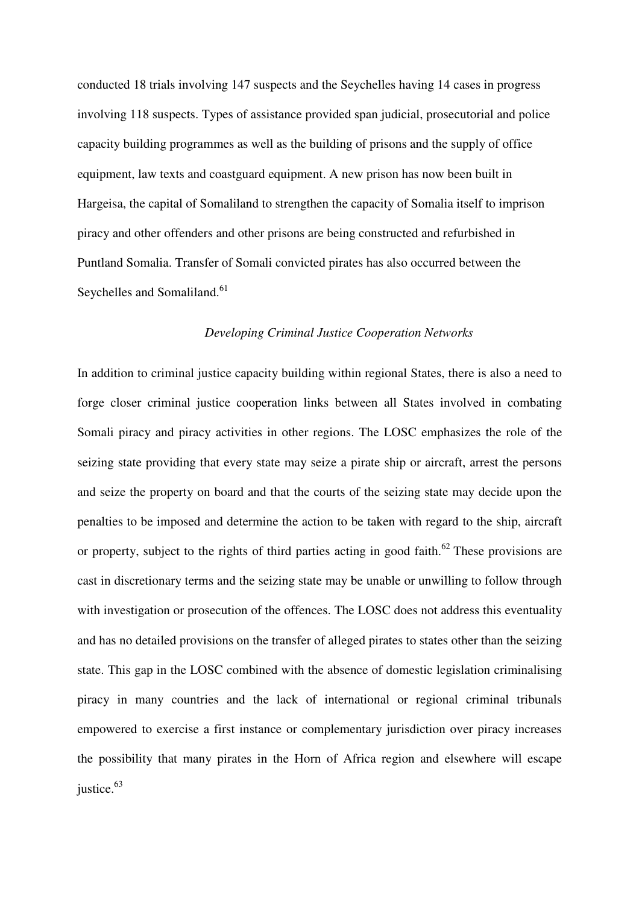conducted 18 trials involving 147 suspects and the Seychelles having 14 cases in progress involving 118 suspects. Types of assistance provided span judicial, prosecutorial and police capacity building programmes as well as the building of prisons and the supply of office equipment, law texts and coastguard equipment. A new prison has now been built in Hargeisa, the capital of Somaliland to strengthen the capacity of Somalia itself to imprison piracy and other offenders and other prisons are being constructed and refurbished in Puntland Somalia. Transfer of Somali convicted pirates has also occurred between the Seychelles and Somaliland.<sup>61</sup>

#### *Developing Criminal Justice Cooperation Networks*

In addition to criminal justice capacity building within regional States, there is also a need to forge closer criminal justice cooperation links between all States involved in combating Somali piracy and piracy activities in other regions. The LOSC emphasizes the role of the seizing state providing that every state may seize a pirate ship or aircraft, arrest the persons and seize the property on board and that the courts of the seizing state may decide upon the penalties to be imposed and determine the action to be taken with regard to the ship, aircraft or property, subject to the rights of third parties acting in good faith.<sup>62</sup> These provisions are cast in discretionary terms and the seizing state may be unable or unwilling to follow through with investigation or prosecution of the offences. The LOSC does not address this eventuality and has no detailed provisions on the transfer of alleged pirates to states other than the seizing state. This gap in the LOSC combined with the absence of domestic legislation criminalising piracy in many countries and the lack of international or regional criminal tribunals empowered to exercise a first instance or complementary jurisdiction over piracy increases the possibility that many pirates in the Horn of Africa region and elsewhere will escape justice.<sup>63</sup>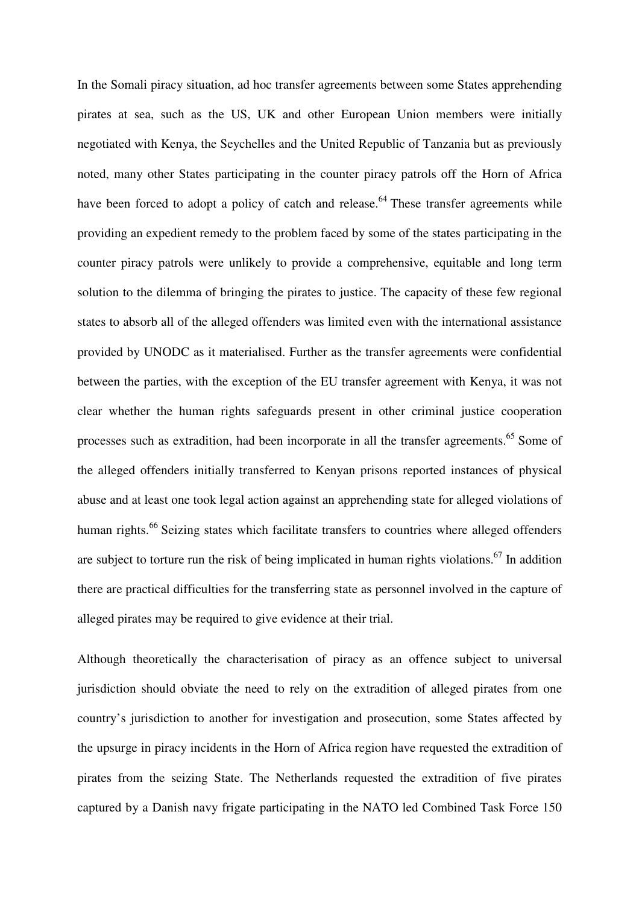In the Somali piracy situation, ad hoc transfer agreements between some States apprehending pirates at sea, such as the US, UK and other European Union members were initially negotiated with Kenya, the Seychelles and the United Republic of Tanzania but as previously noted, many other States participating in the counter piracy patrols off the Horn of Africa have been forced to adopt a policy of catch and release.<sup>64</sup> These transfer agreements while providing an expedient remedy to the problem faced by some of the states participating in the counter piracy patrols were unlikely to provide a comprehensive, equitable and long term solution to the dilemma of bringing the pirates to justice. The capacity of these few regional states to absorb all of the alleged offenders was limited even with the international assistance provided by UNODC as it materialised. Further as the transfer agreements were confidential between the parties, with the exception of the EU transfer agreement with Kenya, it was not clear whether the human rights safeguards present in other criminal justice cooperation processes such as extradition, had been incorporate in all the transfer agreements.<sup>65</sup> Some of the alleged offenders initially transferred to Kenyan prisons reported instances of physical abuse and at least one took legal action against an apprehending state for alleged violations of human rights.<sup>66</sup> Seizing states which facilitate transfers to countries where alleged offenders are subject to torture run the risk of being implicated in human rights violations.<sup>67</sup> In addition there are practical difficulties for the transferring state as personnel involved in the capture of alleged pirates may be required to give evidence at their trial.

Although theoretically the characterisation of piracy as an offence subject to universal jurisdiction should obviate the need to rely on the extradition of alleged pirates from one country's jurisdiction to another for investigation and prosecution, some States affected by the upsurge in piracy incidents in the Horn of Africa region have requested the extradition of pirates from the seizing State. The Netherlands requested the extradition of five pirates captured by a Danish navy frigate participating in the NATO led Combined Task Force 150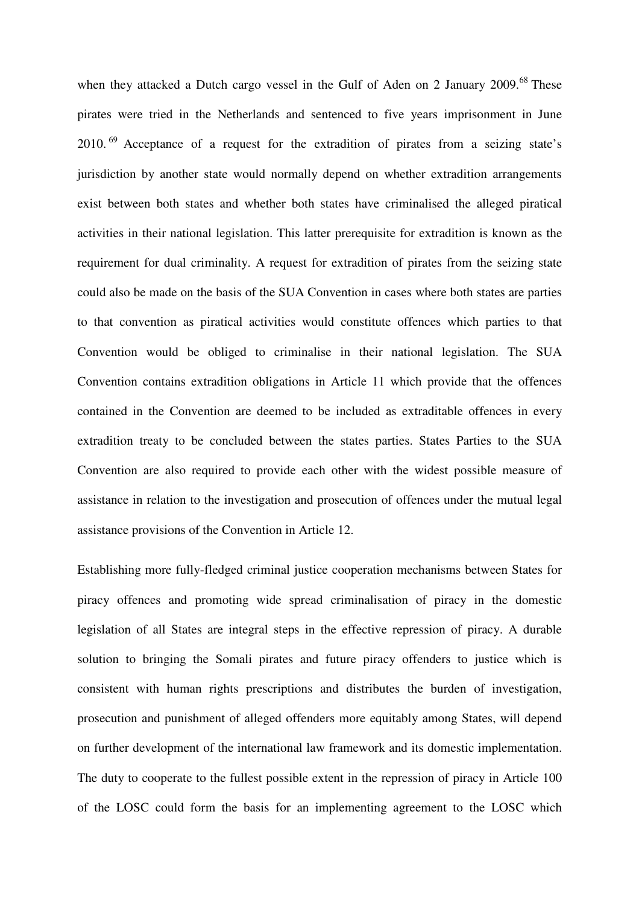when they attacked a Dutch cargo vessel in the Gulf of Aden on 2 January 2009.<sup>68</sup> These pirates were tried in the Netherlands and sentenced to five years imprisonment in June 2010.<sup>69</sup> Acceptance of a request for the extradition of pirates from a seizing state's jurisdiction by another state would normally depend on whether extradition arrangements exist between both states and whether both states have criminalised the alleged piratical activities in their national legislation. This latter prerequisite for extradition is known as the requirement for dual criminality. A request for extradition of pirates from the seizing state could also be made on the basis of the SUA Convention in cases where both states are parties to that convention as piratical activities would constitute offences which parties to that Convention would be obliged to criminalise in their national legislation. The SUA Convention contains extradition obligations in Article 11 which provide that the offences contained in the Convention are deemed to be included as extraditable offences in every extradition treaty to be concluded between the states parties. States Parties to the SUA Convention are also required to provide each other with the widest possible measure of assistance in relation to the investigation and prosecution of offences under the mutual legal assistance provisions of the Convention in Article 12.

Establishing more fully-fledged criminal justice cooperation mechanisms between States for piracy offences and promoting wide spread criminalisation of piracy in the domestic legislation of all States are integral steps in the effective repression of piracy. A durable solution to bringing the Somali pirates and future piracy offenders to justice which is consistent with human rights prescriptions and distributes the burden of investigation, prosecution and punishment of alleged offenders more equitably among States, will depend on further development of the international law framework and its domestic implementation. The duty to cooperate to the fullest possible extent in the repression of piracy in Article 100 of the LOSC could form the basis for an implementing agreement to the LOSC which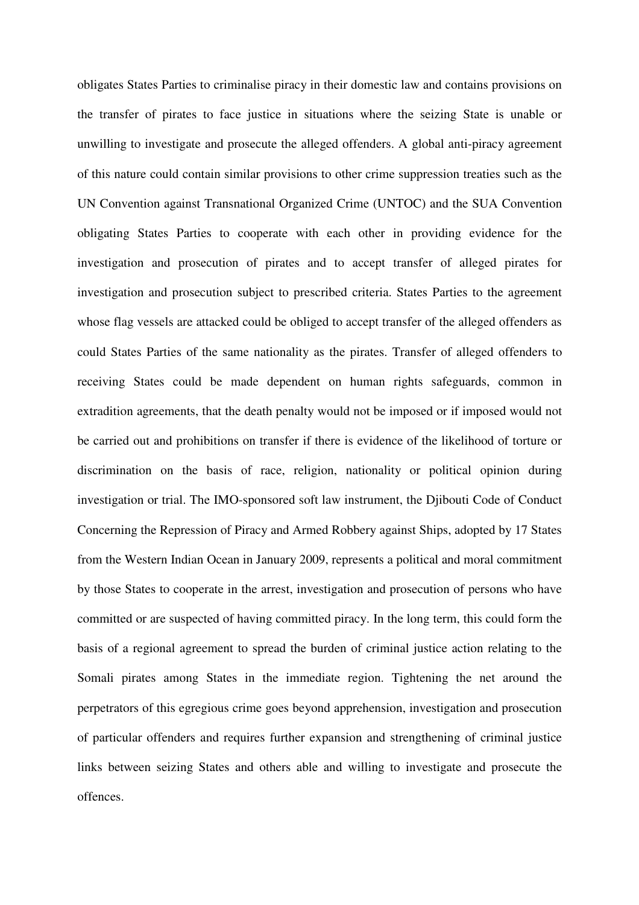obligates States Parties to criminalise piracy in their domestic law and contains provisions on the transfer of pirates to face justice in situations where the seizing State is unable or unwilling to investigate and prosecute the alleged offenders. A global anti-piracy agreement of this nature could contain similar provisions to other crime suppression treaties such as the UN Convention against Transnational Organized Crime (UNTOC) and the SUA Convention obligating States Parties to cooperate with each other in providing evidence for the investigation and prosecution of pirates and to accept transfer of alleged pirates for investigation and prosecution subject to prescribed criteria. States Parties to the agreement whose flag vessels are attacked could be obliged to accept transfer of the alleged offenders as could States Parties of the same nationality as the pirates. Transfer of alleged offenders to receiving States could be made dependent on human rights safeguards, common in extradition agreements, that the death penalty would not be imposed or if imposed would not be carried out and prohibitions on transfer if there is evidence of the likelihood of torture or discrimination on the basis of race, religion, nationality or political opinion during investigation or trial. The IMO-sponsored soft law instrument, the Djibouti Code of Conduct Concerning the Repression of Piracy and Armed Robbery against Ships, adopted by 17 States from the Western Indian Ocean in January 2009, represents a political and moral commitment by those States to cooperate in the arrest, investigation and prosecution of persons who have committed or are suspected of having committed piracy. In the long term, this could form the basis of a regional agreement to spread the burden of criminal justice action relating to the Somali pirates among States in the immediate region. Tightening the net around the perpetrators of this egregious crime goes beyond apprehension, investigation and prosecution of particular offenders and requires further expansion and strengthening of criminal justice links between seizing States and others able and willing to investigate and prosecute the offences.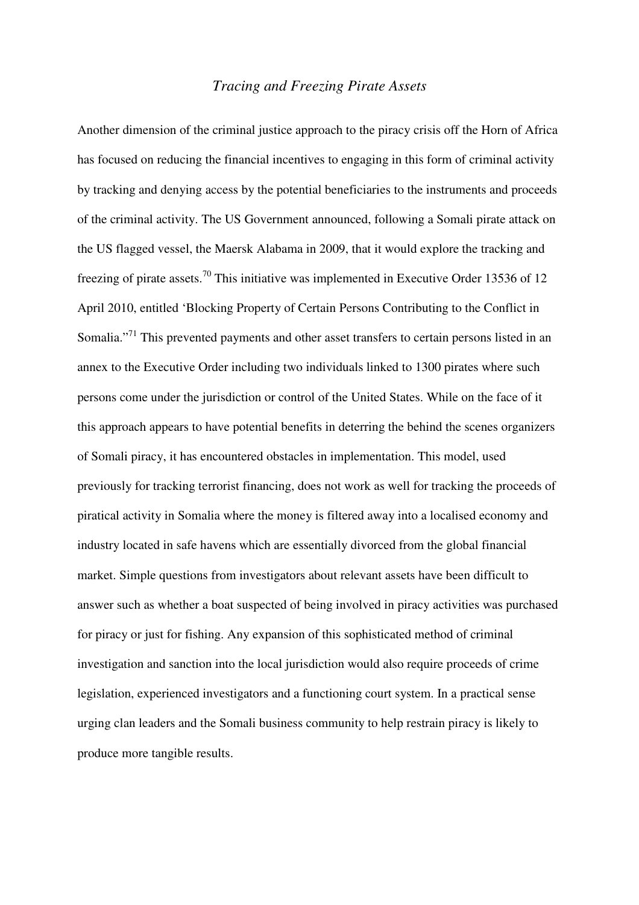### *Tracing and Freezing Pirate Assets*

Another dimension of the criminal justice approach to the piracy crisis off the Horn of Africa has focused on reducing the financial incentives to engaging in this form of criminal activity by tracking and denying access by the potential beneficiaries to the instruments and proceeds of the criminal activity. The US Government announced, following a Somali pirate attack on the US flagged vessel, the Maersk Alabama in 2009, that it would explore the tracking and freezing of pirate assets.<sup>70</sup> This initiative was implemented in Executive Order 13536 of 12 April 2010, entitled 'Blocking Property of Certain Persons Contributing to the Conflict in Somalia."<sup>71</sup> This prevented payments and other asset transfers to certain persons listed in an annex to the Executive Order including two individuals linked to 1300 pirates where such persons come under the jurisdiction or control of the United States. While on the face of it this approach appears to have potential benefits in deterring the behind the scenes organizers of Somali piracy, it has encountered obstacles in implementation. This model, used previously for tracking terrorist financing, does not work as well for tracking the proceeds of piratical activity in Somalia where the money is filtered away into a localised economy and industry located in safe havens which are essentially divorced from the global financial market. Simple questions from investigators about relevant assets have been difficult to answer such as whether a boat suspected of being involved in piracy activities was purchased for piracy or just for fishing. Any expansion of this sophisticated method of criminal investigation and sanction into the local jurisdiction would also require proceeds of crime legislation, experienced investigators and a functioning court system. In a practical sense urging clan leaders and the Somali business community to help restrain piracy is likely to produce more tangible results.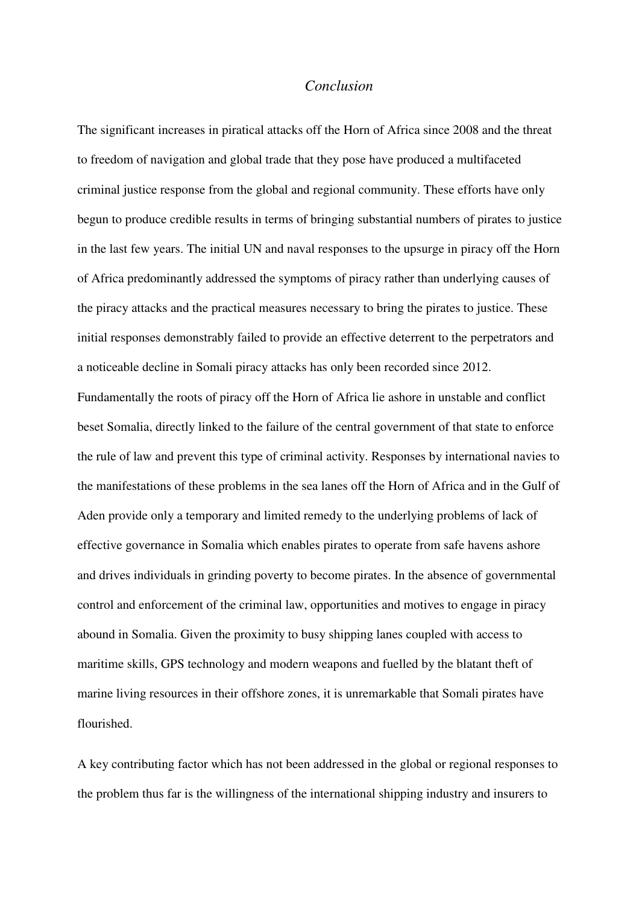### *Conclusion*

The significant increases in piratical attacks off the Horn of Africa since 2008 and the threat to freedom of navigation and global trade that they pose have produced a multifaceted criminal justice response from the global and regional community. These efforts have only begun to produce credible results in terms of bringing substantial numbers of pirates to justice in the last few years. The initial UN and naval responses to the upsurge in piracy off the Horn of Africa predominantly addressed the symptoms of piracy rather than underlying causes of the piracy attacks and the practical measures necessary to bring the pirates to justice. These initial responses demonstrably failed to provide an effective deterrent to the perpetrators and a noticeable decline in Somali piracy attacks has only been recorded since 2012. Fundamentally the roots of piracy off the Horn of Africa lie ashore in unstable and conflict beset Somalia, directly linked to the failure of the central government of that state to enforce the rule of law and prevent this type of criminal activity. Responses by international navies to the manifestations of these problems in the sea lanes off the Horn of Africa and in the Gulf of Aden provide only a temporary and limited remedy to the underlying problems of lack of effective governance in Somalia which enables pirates to operate from safe havens ashore and drives individuals in grinding poverty to become pirates. In the absence of governmental control and enforcement of the criminal law, opportunities and motives to engage in piracy abound in Somalia. Given the proximity to busy shipping lanes coupled with access to maritime skills, GPS technology and modern weapons and fuelled by the blatant theft of marine living resources in their offshore zones, it is unremarkable that Somali pirates have flourished.

A key contributing factor which has not been addressed in the global or regional responses to the problem thus far is the willingness of the international shipping industry and insurers to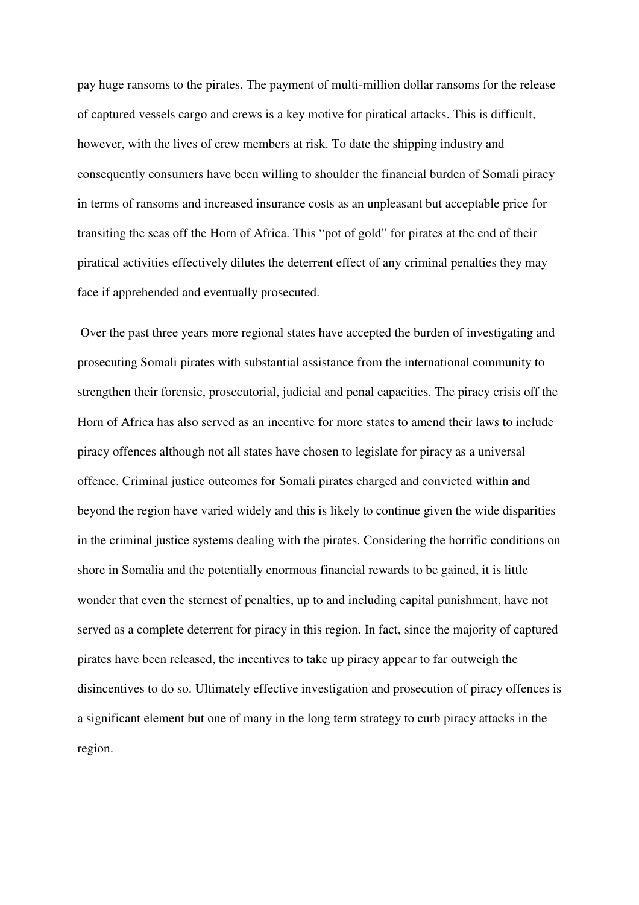pay huge ransoms to the pirates. The payment of multi-million dollar ransoms for the release of captured vessels cargo and crews is a key motive for piratical attacks. This is difficult, however, with the lives of crew members at risk. To date the shipping industry and consequently consumers have been willing to shoulder the financial burden of Somali piracy in terms of ransoms and increased insurance costs as an unpleasant but acceptable price for transiting the seas off the Horn of Africa. This "pot of gold" for pirates at the end of their piratical activities effectively dilutes the deterrent effect of any criminal penalties they may face if apprehended and eventually prosecuted.

 Over the past three years more regional states have accepted the burden of investigating and prosecuting Somali pirates with substantial assistance from the international community to strengthen their forensic, prosecutorial, judicial and penal capacities. The piracy crisis off the Horn of Africa has also served as an incentive for more states to amend their laws to include piracy offences although not all states have chosen to legislate for piracy as a universal offence. Criminal justice outcomes for Somali pirates charged and convicted within and beyond the region have varied widely and this is likely to continue given the wide disparities in the criminal justice systems dealing with the pirates. Considering the horrific conditions on shore in Somalia and the potentially enormous financial rewards to be gained, it is little wonder that even the sternest of penalties, up to and including capital punishment, have not served as a complete deterrent for piracy in this region. In fact, since the majority of captured pirates have been released, the incentives to take up piracy appear to far outweigh the disincentives to do so. Ultimately effective investigation and prosecution of piracy offences is a significant element but one of many in the long term strategy to curb piracy attacks in the region.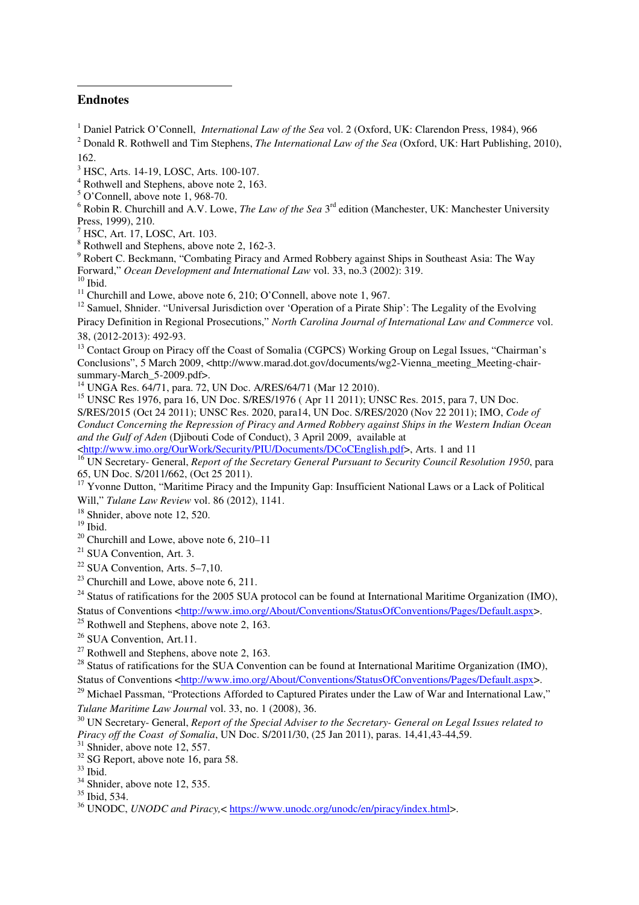#### **Endnotes**

l

<sup>1</sup> Daniel Patrick O'Connell, *International Law of the Sea* vol. 2 (Oxford, UK: Clarendon Press, 1984), 966

2 Donald R. Rothwell and Tim Stephens, *The International Law of the Sea* (Oxford, UK: Hart Publishing, 2010), 162.

3 HSC, Arts. 14-19, LOSC, Arts. 100-107.

<sup>4</sup> Rothwell and Stephens, above note 2, 163.

5 O'Connell, above note 1, 968-70.

<sup>6</sup> Robin R. Churchill and A.V. Lowe, *The Law of the Sea* 3<sup>rd</sup> edition (Manchester, UK: Manchester University Press, 1999), 210.

7 HSC, Art. 17, LOSC, Art. 103.

<sup>8</sup> Rothwell and Stephens, above note 2, 162-3.

<sup>9</sup> Robert C. Beckmann, "Combating Piracy and Armed Robbery against Ships in Southeast Asia: The Way Forward," *Ocean Development and International Law* vol. 33, no.3 (2002): 319.  $10$  Ibid.

<sup>11</sup> Churchill and Lowe, above note 6, 210; O'Connell, above note 1, 967.

<sup>12</sup> Samuel, Shnider. "Universal Jurisdiction over 'Operation of a Pirate Ship': The Legality of the Evolving Piracy Definition in Regional Prosecutions," *North Carolina Journal of International Law and Commerce* vol. 38, (2012-2013): 492-93.

<sup>13</sup> Contact Group on Piracy off the Coast of Somalia (CGPCS) Working Group on Legal Issues, "Chairman's Conclusions", 5 March 2009, <http://www.marad.dot.gov/documents/wg2-Vienna\_meeting\_Meeting-chairsummary-March\_5-2009.pdf>.

<sup>14</sup> UNGA Res. 64/71, para. 72, UN Doc. A/RES/64/71 (Mar 12 2010).

<sup>15</sup> UNSC Res 1976, para 16, UN Doc. S/RES/1976 ( Apr 11 2011); UNSC Res. 2015, para 7, UN Doc. S/RES/2015 (Oct 24 2011); UNSC Res. 2020, para14, UN Doc. S/RES/2020 (Nov 22 2011); IMO, *Code of Conduct Concerning the Repression of Piracy and Armed Robbery against Ships in the Western Indian Ocean and the Gulf of Aden* (Djibouti Code of Conduct), 3 April 2009, available at

<http://www.imo.org/OurWork/Security/PIU/Documents/DCoCEnglish.pdf>, Arts. 1 and 11

<sup>16</sup> UN Secretary- General, *Report of the Secretary General Pursuant to Security Council Resolution 1950*, para 65, UN Doc. S/2011/662, (Oct 25 2011).

<sup>17</sup> Yvonne Dutton, "Maritime Piracy and the Impunity Gap: Insufficient National Laws or a Lack of Political Will," *Tulane Law Review* vol. 86 (2012), 1141.

<sup>18</sup> Shnider, above note 12, 520.

 $^{19}$  Ibid.

<sup>20</sup> Churchill and Lowe, above note  $6, 210-11$ 

<sup>21</sup> SUA Convention, Art. 3.

 $22$  SUA Convention, Arts. 5–7,10.

 $23$  Churchill and Lowe, above note 6, 211.

 $^{24}$  Status of ratifications for the 2005 SUA protocol can be found at International Maritime Organization (IMO), Status of Conventions <http://www.imo.org/About/Conventions/StatusOfConventions/Pages/Default.aspx>.

 $25$  Rothwell and Stephens, above note 2, 163.

<sup>26</sup> SUA Convention, Art.11.

 $27$  Rothwell and Stephens, above note 2, 163.

<sup>28</sup> Status of ratifications for the SUA Convention can be found at International Maritime Organization (IMO), Status of Conventions <http://www.imo.org/About/Conventions/StatusOfConventions/Pages/Default.aspx>.

<sup>29</sup> Michael Passman, "Protections Afforded to Captured Pirates under the Law of War and International Law," *Tulane Maritime Law Journal* vol. 33, no. 1 (2008), 36.

<sup>30</sup> UN Secretary- General, *Report of the Special Adviser to the Secretary- General on Legal Issues related to Piracy off the Coast of Somalia*, UN Doc. S/2011/30, (25 Jan 2011), paras. 14,41,43-44,59.

 $31$  Shnider, above note 12, 557.

 $32$  SG Report, above note 16, para 58.

 $^{33}$  Ibid.

<sup>34</sup> Shnider, above note 12, 535.

 $35$  Ibid, 534.

<sup>36</sup> UNODC, *UNODC and Piracy,*< https://www.unodc.org/unodc/en/piracy/index.html>.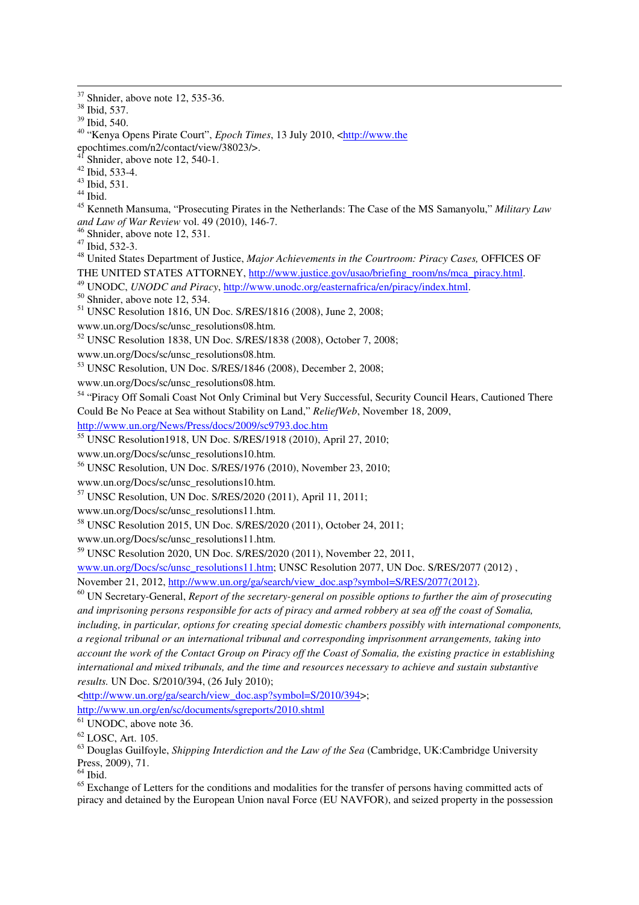l

<sup>40</sup> "Kenya Opens Pirate Court", *Epoch Times*, 13 July 2010, <http://www.the

epochtimes.com/n2/contact/view/38023/>.

 $4<sup>1</sup>$  Shnider, above note 12, 540-1.

<sup>42</sup> Ibid, 533-4.

 $43$  Ibid. 531.

 $44$  Ibid.

<sup>45</sup> Kenneth Mansuma, "Prosecuting Pirates in the Netherlands: The Case of the MS Samanyolu," *Military Law and Law of War Review* vol. 49 (2010), 146-7.

<sup>46</sup> Shnider, above note 12, 531.

<sup>47</sup> Ibid, 532-3.

<sup>48</sup> United States Department of Justice, *Major Achievements in the Courtroom: Piracy Cases,* OFFICES OF THE UNITED STATES ATTORNEY, http://www.justice.gov/usao/briefing\_room/ns/mca\_piracy.html.

<sup>49</sup> UNODC, *UNODC and Piracy*, http://www.unodc.org/easternafrica/en/piracy/index.html.

<sup>50</sup> Shnider, above note 12, 534.

<sup>51</sup> UNSC Resolution 1816, UN Doc. S/RES/1816 (2008), June 2, 2008;

www.un.org/Docs/sc/unsc\_resolutions08.htm.

<sup>52</sup> UNSC Resolution 1838, UN Doc. S/RES/1838 (2008), October 7, 2008;

www.un.org/Docs/sc/unsc\_resolutions08.htm.

<sup>53</sup> UNSC Resolution, UN Doc. S/RES/1846 (2008), December 2, 2008;

www.un.org/Docs/sc/unsc\_resolutions08.htm.

<sup>54</sup> "Piracy Off Somali Coast Not Only Criminal but Very Successful, Security Council Hears, Cautioned There Could Be No Peace at Sea without Stability on Land," *ReliefWeb*, November 18, 2009,

http://www.un.org/News/Press/docs/2009/sc9793.doc.htm

<sup>55</sup> UNSC Resolution1918, UN Doc. S/RES/1918 (2010), April 27, 2010;

www.un.org/Docs/sc/unsc\_resolutions10.htm.

<sup>56</sup> UNSC Resolution, UN Doc. S/RES/1976 (2010), November 23, 2010;

www.un.org/Docs/sc/unsc\_resolutions10.htm.

<sup>57</sup> UNSC Resolution, UN Doc. S/RES/2020 (2011), April 11, 2011;

www.un.org/Docs/sc/unsc\_resolutions11.htm.

<sup>58</sup> UNSC Resolution 2015, UN Doc. S/RES/2020 (2011), October 24, 2011;

www.un.org/Docs/sc/unsc\_resolutions11.htm.

<sup>59</sup> UNSC Resolution 2020, UN Doc. S/RES/2020 (2011), November 22, 2011,

www.un.org/Docs/sc/unsc\_resolutions11.htm; UNSC Resolution 2077, UN Doc. S/RES/2077 (2012) , November 21, 2012, http://www.un.org/ga/search/view\_doc.asp?symbol=S/RES/2077(2012).

<sup>60</sup> UN Secretary-General, *Report of the secretary-general on possible options to further the aim of prosecuting and imprisoning persons responsible for acts of piracy and armed robbery at sea off the coast of Somalia, including, in particular, options for creating special domestic chambers possibly with international components, a regional tribunal or an international tribunal and corresponding imprisonment arrangements, taking into account the work of the Contact Group on Piracy off the Coast of Somalia, the existing practice in establishing international and mixed tribunals, and the time and resources necessary to achieve and sustain substantive results.* UN Doc. S/2010/394, (26 July 2010);

<http://www.un.org/ga/search/view\_doc.asp?symbol=S/2010/394>; http://www.un.org/en/sc/documents/sgreports/2010.shtml

<sup>61</sup> UNODC, above note 36.

 $62$  LOSC, Art. 105.

<sup>63</sup> Douglas Guilfoyle, *Shipping Interdiction and the Law of the Sea* (Cambridge, UK:Cambridge University Press, 2009), 71.

 $<sup>64</sup>$  Ibid.</sup>

<sup>65</sup> Exchange of Letters for the conditions and modalities for the transfer of persons having committed acts of piracy and detained by the European Union naval Force (EU NAVFOR), and seized property in the possession

 $37$  Shnider, above note 12, 535-36.

<sup>38</sup> Ibid, 537.

<sup>39</sup> Ibid, 540.